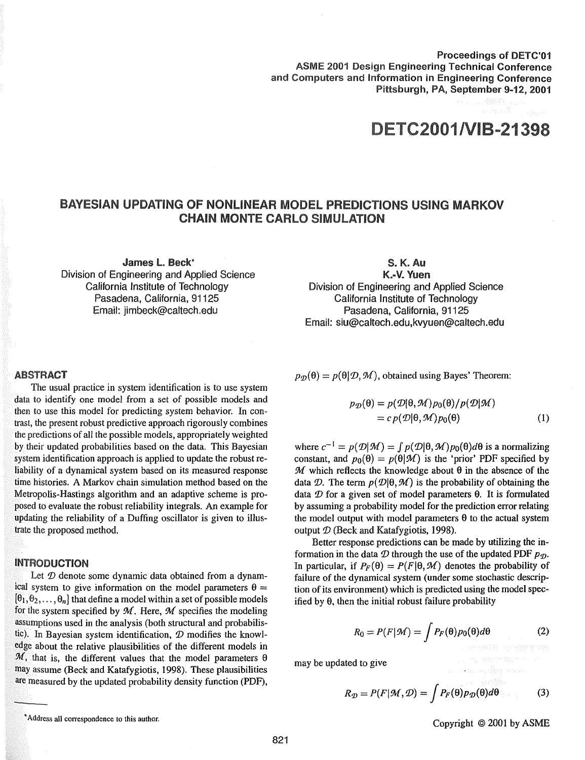Proceedings of DETC'01 ASME 2001 Design Engineering Technical Conference and Computers and Information in Engineering Conference Pittsburgh, PA, September 9-12, 2001

1/VIB-21

### BAYESIAN UPDATING OF NONLINEAR MODEL PREDICTIONS USING MARKOV **CHAIN MONTE CARLO SIMULATION**

James L. Beck\* Division of Engineering and Applied Science California Institute of Technology Pasadena, California, 91125 Email: jimbeck@caltech.edu

### S.K.Au

K.-V. Yuen Division of Engineering and Applied Science California Institute of Technology Pasadena, California, 91125 Email: siu@caltech.edu,kvyuen@caltech.edu

#### **ABSTRACT**

The usual practice in system identification is to use system data to identify one model from a set of possible models and then to use this model for predicting system behavior. In contrast, the present robust predictive approach rigorously combines the predictions of all the possible models, appropriately weighted by their updated probabilities based on the data. This Bayesian system identification approach is applied to update the robust reliability of a dynamical system based on its measured response time histories. A Markov chain simulation method based on the Metropolis-Hastings algorithm and an adaptive scheme is proposed to evaluate the robust reliability integrals. An example for updating the reliability of a Duffing oscillator is given to illustrate the proposed method.

#### INTRODUCTION

Let  $D$  denote some dynamic data obtained from a dynamical system to give information on the model parameters  $\theta$  =  $[\theta_1, \theta_2, \ldots, \theta_n]$  that define a model within a set of possible models for the system specified by  $M$ . Here,  $M$  specifies the modeling assumptions used in the analysis (both structural and probabilistic). In Bayesian system identification,  $D$  modifies the knowledge about the relative plausibilities of the different models in  $M$ , that is, the different values that the model parameters  $\theta$ may assume (Beck and Katafygiotis, 1998). These plausibilities are measured by the updated probability density function (PDF),  $p_{\mathcal{D}}(\theta) = p(\theta | \mathcal{D}, \mathcal{M})$ , obtained using Bayes' Theorem:

$$
p_{\mathcal{D}}(\theta) = p(\mathcal{D}|\theta, \mathcal{M})p_0(\theta)/p(\mathcal{D}|\mathcal{M})
$$
  
= 
$$
c p(\mathcal{D}|\theta, \mathcal{M})p_0(\theta)
$$
 (1)

where  $c^{-1} = p(\mathcal{D}|\mathcal{M}) = \int p(\mathcal{D}|\theta, \mathcal{M})p_0(\theta)d\theta$  is a normalizing constant, and  $p_0(\theta) = p(\theta|\mathcal{M})$  is the 'prior' PDF specified by  $M$  which reflects the knowledge about  $\theta$  in the absence of the data D. The term  $p(D|\theta, M)$  is the probability of obtaining the data  $D$  for a given set of model parameters  $\theta$ . It is formulated by assuming a probability model for the prediction error relating the model output with model parameters  $\theta$  to the actual system output  $D$  (Beck and Katafygiotis, 1998).

Better response predictions can be made by utilizing the information in the data  $D$  through the use of the updated PDF  $p_{\mathcal{D}}$ . In particular, if  $P_F(\theta) = P(F|\theta, \mathcal{M})$  denotes the probability of failure of the dynamical system (under some stochastic description of its environment) which is predicted using the model specified by  $\theta$ , then the initial robust failure probability

$$
R_0 = P(F|\mathcal{M}) = \int P_F(\theta) p_0(\theta) d\theta \qquad (2)
$$

may be updated to give

$$
R_{\mathcal{D}} = P(F|\mathcal{M}, \mathcal{D}) = \int P_F(\theta) p_{\mathcal{D}}(\theta) d\theta \tag{3}
$$

Copyright © 2001 by ASME

a dago sedini pasa

Address all correspondence to this author.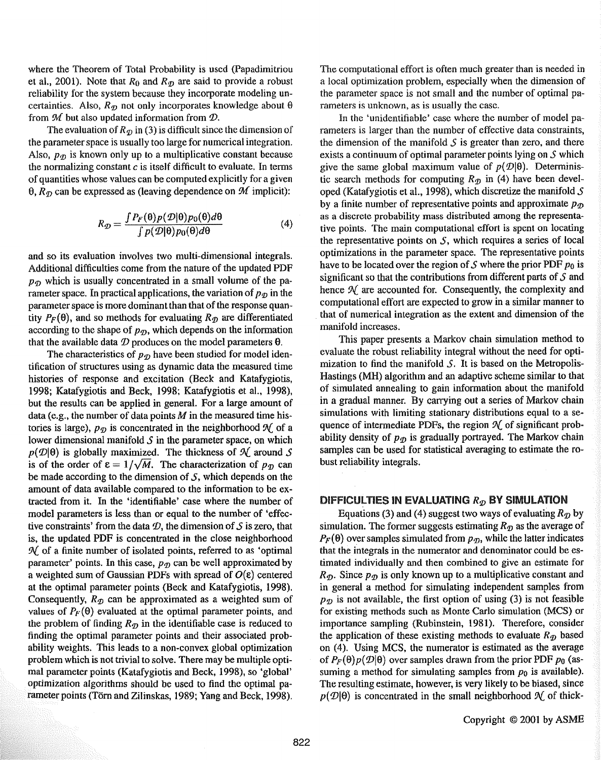where the Theorem of Total Probability is used (Papadimitriou et al., 2001). Note that  $R_0$  and  $R_{\mathcal{D}}$  are said to provide a robust reliability for the system because they incorporate modeling uncertainties. Also,  $R_{\mathcal{D}}$  not only incorporates knowledge about  $\theta$ from  $M$  but also updated information from  $D$ .

The evaluation of  $R_{\mathcal{D}}$  in (3) is difficult since the dimension of the parameter space is usually too large for numerical integration. Also,  $p_{\mathcal{D}}$  is known only up to a multiplicative constant because the normalizing constant  $c$  is itself difficult to evaluate. In terms of quantities whose values can be computed explicitly for a given  $\theta$ ,  $R_{\eta}$  can be expressed as (leaving dependence on  $\mathcal{M}$  implicit):

$$
R_{\mathcal{D}} = \frac{\int P_F(\theta) p(\mathcal{D}|\theta) p_0(\theta) d\theta}{\int p(\mathcal{D}|\theta) p_0(\theta) d\theta} \tag{4}
$$

and so its evaluation involves two multi-dimensional integrals. Additional difficulties come from the nature of the updated PDF  $p_{\mathcal{D}}$  which is usually concentrated in a small volume of the parameter space. In practical applications, the variation of  $p_{\phi}$  in the parameter space is more dominant than that of the response quantity  $P_F(\theta)$ , and so methods for evaluating  $R_{\theta}$  are differentiated according to the shape of  $p_{\mathcal{D}}$ , which depends on the information that the available data  $\mathcal D$  produces on the model parameters  $\theta$ .

The characteristics of  $p_{\mathcal{D}}$  have been studied for model identification of structures using as dynamic data the measured time histories of response and excitation (Beck and Katafygiotis, 1998; Katafygiotis and Beck, 1998; Katafygiotis et al., 1998), but the results can be applied in general. For a large amount of data (e.g., the number of data points  $M$  in the measured time histories is large),  $p_{\mathcal{D}}$  is concentrated in the neighborhood  $\mathcal{N}$  of a lower dimensional manifold *S* in the parameter space, on which  $p(\mathcal{D}|\theta)$  is globally maximized. The thickness of  $\mathcal{N}_1$  around *S* is of the order of  $\varepsilon = 1/\sqrt{M}$ . The characterization of  $p_{\mathcal{D}}$  can be made according to the dimension of  $\mathcal{S}$ , which depends on the amount of data available compared to the information to be exlracted from it. In the 'identifiable' case where the number of model parameters is less than or equal to the number of 'effective constraints' from the data  $\mathcal{D}$ , the dimension of S is zero, that is, the updated PDF is concentrated in the close neighborhood  $\mathcal{H}$  of a finite number of isolated points, referred to as 'optimal parameter' points. In this case,  $p_{\mathcal{D}}$  can be well approximated by a weighted sum of Gaussian PDFs with spread of  $O(\varepsilon)$  centered at the optimal parameter points (Beck and Katafygiotis, 1998). Consequently,  $R_p$  can be approximated as a weighted sum of values of  $P_F(\theta)$  evaluated at the optimal parameter points, and the problem of finding  $R_{\mathcal{D}}$  in the identifiable case is reduced to finding the optimal parameter points and their associated probability weights. This leads to a non-convex global optimization problem which is not trivial to solve. There may be multiple optimal parameter points (Katafygiotis and Beck, 1998), so 'global' optimization algorithms should be used to find the optimal parameter points (Torn and Zilinskas, 1989; Yang and Beck, 1998).

The computational effort is often much greater than is needed in a local optimization problem, especially when the dimension of the parameter space is not small and the number of optimal parameters is unknown, as is usually the case.

In the 'unidentifiable' case where the number of model parameters is larger than the number of effective data constraints, the dimension of the manifold  $S$  is greater than zero, and there exists a continuum of optimal parameter points lying on *S* which give the same global maximum value of  $p(\mathcal{D}|\theta)$ . Deterministic search methods for computing  $R_{\mathcal{D}}$  in (4) have been developed (Katafygiotis et al., 1998), which discretize the manifold  $S$ by a finite number of representative points and approximate  $p_{\mathcal{D}}$ as a discrete probability mass distributed among the representative points. The main computational effort is spent on locating the representative points on  $S$ , which requires a series of local optimizations in the parameter space. The representative points have to be located over the region of S where the prior PDF  $p_0$  is significant so that the contributions from different parts of *S* and hence  $\mathcal{N}$  are accounted for. Consequently, the complexity and computational effort are expected to grow in a similar manner to that of numerical integration as the extent and dimension of the manifold increases.

This paper presents a Markov chain simulation method to evaluate the robust reliability integral without the need for optimization to find the manifold  $S$ . It is based on the Metropolis-Hastings (MH) algorithm and an adaptive scheme similar to that of simulated annealing to gain information about the manifold in a gradual manner. By carrying out a series of Markov chain simulations with limiting stationary distributions equal to a sequence of intermediate PDFs, the region  $\mathcal N$  of significant probability density of  $p_{\phi}$  is gradually portrayed. The Markov chain samples can be used for statistical averaging to estimate the robust reliability integrals.

#### DIFFICULTIES IN EVALUATING  $R<sub>D</sub>$  BY SIMULATION

Equations (3) and (4) suggest two ways of evaluating  $R_{\eta}$  by simulation. The former suggests estimating  $R_{\eta}$  as the average of  $P_F(\theta)$  over samples simulated from  $p_{\mathcal{D}}$ , while the latter indicates that the integrals in the numerator and denominator could be estimated individually and then combined to give an estimate for  $R_{\mathcal{D}}$ . Since  $p_{\mathcal{D}}$  is only known up to a multiplicative constant and in general a method for simulating independent samples from  $p_{\mathcal{D}}$  is not available, the first option of using (3) is not feasible for existing methods such as Monte Carlo simulation (MCS) or importance sampling (Rubinstein, 1981). Therefore, consider the application of these existing methods to evaluate  $R_{\eta}$  based on (4). Using MCS, the numerator is estimated as the average of  $P_F(\theta)p(\mathcal{D}|\theta)$  over samples drawn from the prior PDF  $p_0$  (assuming a method for simulating samples from  $p_0$  is available). The resulting estimate, however, is very likely to be biased, since  $p(\mathcal{D}|\theta)$  is concentrated in the small neighborhood  $\mathcal{N}$  of thick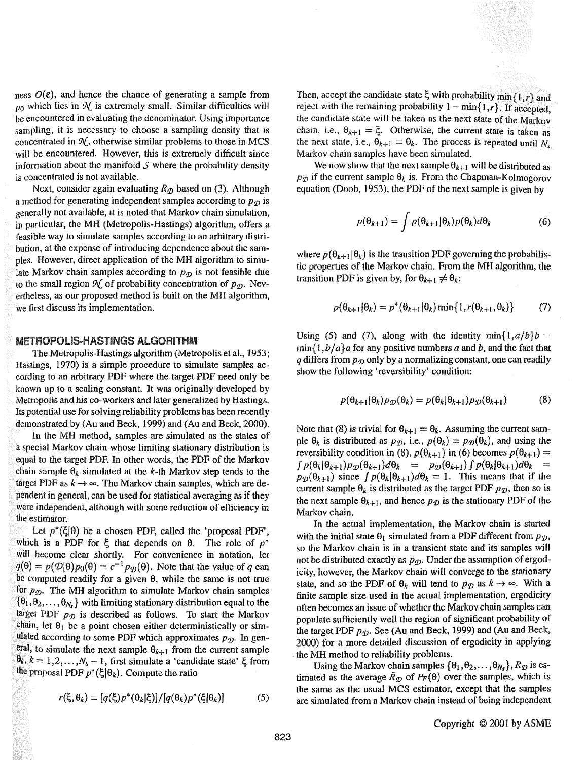ness  $O(\varepsilon)$ , and hence the chance of generating a sample from  $p_0$  which lies in  $\mathcal{N}$  is extremely small. Similar difficulties will be encountered in evaluating the denominator. Using importance sampling, it is necessary to choose a sampling density that is concentrated in  $\mathcal{N}$ , otherwise similar problems to those in MCS will be encountered. However, this is extremely difficult since information about the manifold  $S$  where the probability density is concentrated is not available.

Next, consider again evaluating  $R_{\mathcal{D}}$  based on (3). Although a method for generating independent samples according to  $p_{\eta}$  is generally not available, it is noted that Markov chain simulation, in particular, the MH (Metropolis-Hastings) algorithm, offers a feasible way to simulate samples according to an arbitrary distribution, at the expense of introducing dependence about the samples. However, direct application of the MH algorithm to simulate Markov chain samples according to  $p_{\mathcal{D}}$  is not feasible due to the small region  $\mathcal{N}$  of probability concentration of  $p_{\mathcal{D}}$ . Nevertheless, as our proposed method is built on the MH algorithm, we first discuss its implementation.

#### METROPOLIS-HASTINGS ALGORITHM

The Metropolis-Hastings algorithm (Metropolis et al., 1953; Hastings, 1970) is a simple procedure to simulate samples according to an arbitrary PDF where the target PDF need only be known up to a scaling constant. It was originally developed by Metropolis and his co-workers and later generalized by Hastings. Its potential use for solving reliability problems has been recently demonstrated by (Au and Beck, 1999) and (Au and Beck, 2000).

In the MH method, samples are simulated as the states of a special Markov chain whose limiting stationary distribution is equal to the target PDF. In other words, the PDF of the Markov chain sample  $\theta_k$  simulated at the *k*-th Markov step tends to the target PDF as  $k \rightarrow \infty$ . The Markov chain samples, which are dependent in general, can be used for statistical averaging as if they were independent, although with some reduction of efficiency in the estimator.

Let  $p^*(\xi|\theta)$  be a chosen PDF, called the 'proposal PDF', which is a PDF for  $\xi$  that depends on  $\theta$ . The role of  $p^*$ will become clear shortly. For convenience in notation, let  $q(\theta) = p(\mathcal{D}|\theta)p_0(\theta) = c^{-1}p_{\mathcal{D}}(\theta)$ . Note that the value of *q* can be computed readily for a given  $\theta$ , while the same is not true for  $p_{\mathcal{D}}$ . The MH algorithm to simulate Markov chain samples  $\{\theta_1, \theta_2, \ldots, \theta_{N_s}\}\$  with limiting stationary distribution equal to the target PDF  $p_{\mathcal{D}}$  is described as follows. To start the Markov chain, let  $\theta_1$  be a point chosen either deterministically or simulated according to some PDF which approximates  $p_{\mathcal{D}}$ . In general, to simulate the next sample  $\theta_{k+1}$  from the current sample  $\theta_k$ ,  $k = 1, 2, ..., N_s - 1$ , first simulate a 'candidate state'  $\xi$  from the proposal PDF  $p^*(\xi|\theta_k)$ . Compute the ratio

$$
r(\xi, \theta_k) = [q(\xi)p^*(\theta_k|\xi)]/[q(\theta_k)p^*(\xi|\theta_k)] \tag{5}
$$

Then, accept the candidate state  $\xi$  with probability min $\{1, r\}$  and reject with the remaining probability  $1 - min{1, r}$ . If accepted, the candidate state will be taken as the next state of the Markov chain, i.e.,  $\theta_{k+1} = \xi$ . Otherwise, the current state is taken as the next state, i.e.,  $\theta_{k+1} = \theta_k$ . The process is repeated until N<sub>s</sub> Markov chain samples have been simulated.

We now show that the next sample  $\theta_{k+1}$  will be distributed as  $p_{\mathcal{D}}$  if the current sample  $\theta_k$  is. From the Chapman-Kolmogorov equation (Doob, 1953), the PDF of the next sample is given by

$$
p(\theta_{k+1}) = \int p(\theta_{k+1}|\theta_k)p(\theta_k)d\theta_k
$$
 (6)

where  $p(\theta_{k+1}|\theta_k)$  is the transition PDF governing the probabilistic properties of the Markov chain. From the MH algorithm, the transition PDF is given by, for  $\theta_{k+1} \neq \theta_k$ :

$$
p(\theta_{k+1}|\theta_k) = p^*(\theta_{k+1}|\theta_k) \min\{1, r(\theta_{k+1}, \theta_k)\} \tag{7}
$$

Using (5) and (7), along with the identity min $\{1, a/b\}$  =  $\min\{1, b/a\}$ a for any positive numbers *a* and *b*, and the fact that  $q$  differs from  $p_{\mathcal{D}}$  only by a normalizing constant, one can readily show the following 'reversibility' condition:

$$
p(\theta_{k+1}|\theta_k)p_{\mathcal{D}}(\theta_k) = p(\theta_k|\theta_{k+1})p_{\mathcal{D}}(\theta_{k+1})
$$
 (8)

Note that (8) is trivial for  $\theta_{k+1} = \theta_k$ . Assuming the current sample  $\theta_k$  is distributed as  $p_{\mathcal{D}}$ , i.e.,  $p(\theta_k) = p_{\mathcal{D}}(\theta_k)$ , and using the reversibility condition in (8),  $p(\theta_{k+1})$  in (6) becomes  $p(\theta_{k+1}) =$  $\int p(\theta_k|\theta_{k+1})p_{\mathcal{D}}(\theta_{k+1})d\theta_k = p_{\mathcal{D}}(\theta_{k+1})\int p(\theta_k|\theta_{k+1})d\theta_k =$  $p_{\mathcal{D}}(\theta_{k+1})$  since  $\int p(\theta_k|\theta_{k+1})d\theta_k = 1$ . This means that if the current sample  $\Theta_k$  is distributed as the target PDF  $p_{\mathcal{D}}$ , then so is the next sample  $\theta_{k+1}$ , and hence  $p_{\mathcal{D}}$  is the stationary PDF of the Markov chain.

In the actual implementation, the Markov chain is started with the initial state  $\theta_1$  simulated from a PDF different from  $p_{\mathcal{D}}$ , so the Markov chain is in a transient state and its samples will not be distributed exactly as  $p_{\mathcal{D}}$ . Under the assumption of ergodicity, however, the Markov chain will converge to the stationary state, and so the PDF of  $\theta_k$  will tend to  $p_{\mathcal{D}}$  as  $k \to \infty$ . With a finite sample size used in the actual implementation, ergodicity often becomes an issue of whether the Markov chain samples can populate sufficiently well the region of significant probability of the target PDF  $p_{\mathcal{D}}$ . See (Au and Beck, 1999) and (Au and Beck, 2000) for a more detailed discussion of ergodicity in applying the MH method to reliability problems.

Using the Markov chain samples  $\{\theta_1, \theta_2, \ldots, \theta_{N_s}\}, R_{\mathcal{D}}$  is estimated as the average  $\bar{R}_{\mathcal{D}}$  of  $P_F(\theta)$  over the samples, which is the same as the usual MCS estimator, except that the samples are simulated from a Markov chain instead of being independent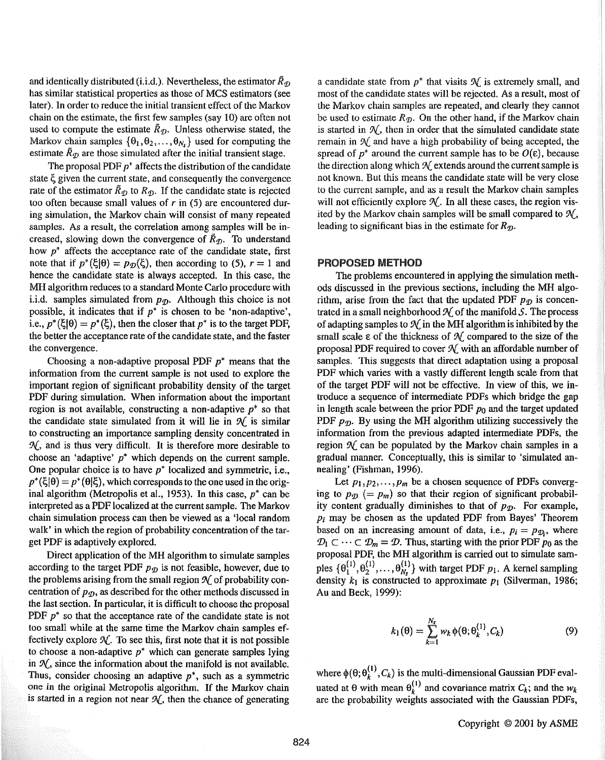and identically distributed (i.i.d.). Nevertheless, the estimator  $\tilde{R}_{\tau}$ has similar statistical properties as those of MCS estimators (see later). In order to reduce the initial transient effect of the Markov chain on the estimate, the first few samples (say 10) arc often not used to compute the estimate  $\tilde{R}_{\mathcal{D}}$ . Unless otherwise stated, the Markov chain samples  $\{\theta_1, \theta_2, \ldots, \theta_N\}$  used for computing the estimate  $\tilde{R}_{\eta}$  are those simulated after the initial transient stage.

The proposal PDF  $p^*$  affects the distribution of the candidate state  $\xi$  given the current state, and consequently the convergence rate of the estimator  $\bar{R}_{\mathcal{D}}$  to  $R_{\mathcal{D}}$ . If the candidate state is rejected too often because small values of *r* in (5) are encountered during simulation, the Markov chain will consist of many repeated samples. As a result, the correlation among samples wilt be increased, slowing down the convergence of  $\tilde{R}_{\eta}$ . To understand how  $p^*$  affects the acceptance rate of the candidate state, first note that if  $p^*(\xi|\theta) = p_{\theta}(\xi)$ , then according to (5),  $r=1$  and hence the candidate state is always accepted. In this case, the MH algorithm reduces to a standard Monte Carlo procedure with i.i.d. samples simulated from  $p_{\mathcal{D}}$ . Although this choice is not possible, it indicates that if  $p^*$  is chosen to be 'non-adaptive', i.e.,  $p^*(\xi|\theta) = p^*(\xi)$ , then the closer that  $p^*$  is to the target PDF, the better the acceptance rate of the candidate state, and the faster the convergence.

Choosing a non-adaptive proposal PDF  $p^*$  means that the information from the current sample is not used to explore the important region of significant probability density of the target PDF during simulation. When information about the important region is not available, constructing a non-adaptive  $p^*$  so that the candidate state simulated from it will lie in  $\mathcal{N}$  is similar to constructing an importance sampling density concentrated in *9£,* and is thus very difficult. It is therefore more desirable to choose an 'adaptive'  $p^*$  which depends on the current sample. One popular choice is to have  $p^*$  localized and symmetric, i.e.,  $p^*(\xi|\theta) = p^*(\theta|\xi)$ , which corresponds to the one used in the original algorithm (Metropolis et al., 1953). In this case,  $p^*$  can be interpreted as a PDF localized at the current sample. The Markov chain simulation process can then be viewed as a 'local random walk' in which the region of probability concentration of the target PDF is adaptively explored.

Direct application of the MH algorithm to simulate samples according to the target PDF  $p_p$  is not feasible, however, due to the problems arising from the small region  $\mathcal N$  of probability concentration of  $p_{\mathcal{D}}$ , as described for the other methods discussed in the last section. In particular, it is difficult to choose the proposal PDF  $p^*$  so that the acceptance rate of the candidate state is not too small while at the same time the Markov chain samples effectively explore  $\mathcal{N}$ . To see this, first note that it is not possible to choose a non-adaptive  $p^*$  which can generate samples lying in  $\mathcal{N}$ , since the information about the manifold is not available. Thus, consider choosing an adaptive  $p^*$ , such as a symmetric one in the original Metropolis algorithm. If the Markov chain is started in a region not near  $\mathcal{N}$ , then the chance of generating

a candidate state from  $p^*$  that visits  $\mathcal N$  is extremely small, and most of the candidate states will be rejected. As a result, most of the Markov chain samples are repeated, and clearly they cannot be used to estimate  $R_p$ . On the other hand, if the Markov chain is started in  $\mathcal{N}$ , then in order that the simulated candidate state remain in  $\mathcal{N}$  and have a high probability of being accepted, the spread of  $p^*$  around the current sample has to be  $O(\varepsilon)$ , because the direction along which  $\mathcal N$  extends around the current sample is not known. But this means the candidate state will be very close to the current sample, and as a result the Markov chain samples will not efficiently explore  $\mathcal{N}_s$ . In all these cases, the region visited by the Markov chain samples will be small compared to  $\mathcal{N}_{\alpha}$ , leading to significant bias in the estimate for  $R_{\eta}$ .

#### PROPOSED METHOD

The problems encountered in applying the simulation methods discussed in the previous sections, including the MH algorithm, arise from the fact that the updated PDF  $p_{\mathcal{D}}$  is concentrated in a small neighborhood  $\mathcal N$  of the manifold S. The process of adapting samples to  $\mathcal{N}$  in the MH algorithm is inhibited by the small scale  $\epsilon$  of the thickness of  $\mathcal N$  compared to the size of the proposal PDF required to cover  $\mathcal{N}_1$  with an affordable number of samples. This suggests that direct adaptation using a proposal PDF which varies with a vastly different length scale from that of the target PDF will not be effective. In view of this, we introduce a sequence of intermediate PDFs which bridge the gap in length scale between the prior PDF *po* and the target updated PDF  $p_p$ . By using the MH algorithm utilizing successively the information from the previous adapted intermediate PDFs, the region  $\mathcal N$  can be populated by the Markov chain samples in a gradual manner. Conceptually, this is similar to 'simulated annealing' (Fishman, 1996).

Let  $p_1, p_2, \ldots, p_m$  be a chosen sequence of PDFs converging to  $p_{\mathcal{D}}$  (=  $p_m$ ) so that their region of significant probability content gradually diminishes to that of  $p_{\eta}$ . For example, *Pi* may be chosen as the updated PDF from Bayes' Theorem based on an increasing amount of data, i.e.,  $p_i = p_{\mathcal{D}_i}$ , where  $\mathcal{D}_1 \subset \cdots \subset \mathcal{D}_m = \mathcal{D}$ . Thus, starting with the prior PDF  $p_0$  as the proposal PDF, the MH algorithm is carried out to simulate samples  $\{\theta_1^{(1)}, \theta_2^{(1)}, \ldots, \theta_N^{(1)}\}$  with target PDF  $p_1$ . A kernel sampling density  $k_1$  is constructed to approximate  $p_1$  (Silverman, 1986; Au and Beck, 1999):

$$
k_1(\theta) = \sum_{k=1}^{N_s} w_k \, \phi(\theta; \theta_k^{(1)}, C_k)
$$
 (9)

where  $\phi(\theta; \theta_k^{(1)}, C_k)$  is the multi-dimensional Gaussian PDF evaluated at  $\theta$  with mean  $\theta_k^{(1)}$  and covariance matrix  $C_k$ ; and the  $w_k$ are the probability weights associated with the Gaussian PDFs,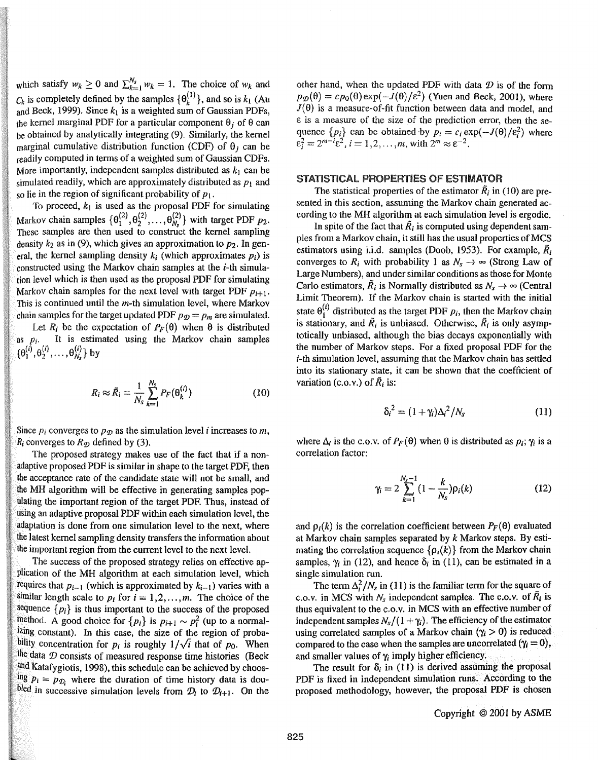which satisfy  $w_k \ge 0$  and  $\sum_{k=1}^{N_s} w_k = 1$ . The choice of  $w_k$  and  $C_k$  is completely defined by the samples  $\{\theta_k^{(1)}\}$ , and so is  $k_1$  (Au and Beck, 1999). Since  $k_1$  is a weighted sum of Gaussian PDFs, the kernel marginal PDF for a particular component  $\theta_i$  of  $\theta$  can be obtained by analytically integrating (9). Similarly, the kernel marginal cumulative distribution function (CDF) of  $\theta_i$  can be readily computed in terms of a weighted sum of Gaussian CDFs. More importantly, independent samples distributed as  $k_1$  can be simulated readily, which are approximately distributed as  $p_1$  and so lie in the region of significant probability of  $p_1$ .

To proceed,  $k_1$  is used as the proposal PDF for simulating Markov chain samples  $\{\theta_1^{(2)}, \theta_2^{(2)}, \ldots, \theta_{N_r}^{(2)}\}$  with target PDF  $p_2$ . These samples are then used to construct the kernel sampling density  $k_2$  as in (9), which gives an approximation to  $p_2$ . In general, the kernel sampling density  $k_i$  (which approximates  $p_i$ ) is constructed using the Markov chain samples at the  $i$ -th simulation level which is then used as the proposal PDF for simulating Markov chain samples for the next level with target PDF  $p_{i+1}$ . This is continued until the *m-th* simulation level, where Markov chain samples for the target updated PDF  $p_{\mathcal{D}} = p_m$  are simulated.

Let  $R_i$  be the expectation of  $P_F(\theta)$  when  $\theta$  is distributed as  $p_i$ . It is estimated using the Markov chain samples  $\{\theta_1^{(i)}, \theta_2^{(i)}, \dots, \theta_{N_s}^{(i)}\}$  by

$$
R_i \approx \tilde{R}_i = \frac{1}{N_s} \sum_{k=1}^{N_s} P_F(\theta_k^{(i)})
$$
 (10)

Since  $p_i$  converges to  $p_p$  as the simulation level *i* increases to m,  $R_i$  converges to  $R_{\mathcal{D}}$  defined by (3).

The proposed strategy makes use of the fact that if a nonadaptive proposed PDF is similar in shape to the target PDF, then the acceptance rate of the candidate state will not be small, and the MH algorithm will be effective in generating samples populating the important region of the target PDF. Thus, instead of using an adaptive proposal PDF within each simulation level, the adaptation is done from one simulation level to the next, where the latest kernel sampling density transfers the information about the important region from the current level to the next level.

The success of the proposed strategy relies on effective application of the MH algorithm at each simulation level, which requires that  $p_{i-1}$  (which is approximated by  $k_{i-1}$ ) varies with a similar length scale to  $p_i$  for  $i = 1, 2, \ldots, m$ . The choice of the sequence  $\{p_i\}$  is thus important to the success of the proposed  ${}^{\text{method.}}$  A good choice for  $\{p_i\}$  is  $p_{i+1} \sim p_i^2$  (up to a normalizing constant). In this case, the size of the region of probability concentration for  $p_i$  is roughly  $1/\sqrt{i}$  that of  $p_0$ . When the data  $\mathcal D$  consists of measured response time histories (Beck and Katafygiotis, 1998), this schedule can be achieved by choos-<sup>Ing</sup>  $p_i = p_{\mathcal{D}_i}$  where the duration of time history data is dou*indicularies in successive simulation levels from*  $\mathcal{D}_i$  *to*  $\mathcal{D}_{i+1}$ *. On the* 

other hand, when the updated PDF with data  $D$  is of the form  $p_{\mathcal{D}}(\theta) = cp_0(\theta) \exp(-J(\theta)/\epsilon^2)$  (Yuen and Beck, 2001), where  $J(\theta)$  is a measure-of-fit function between data and model, and  $\varepsilon$  is a measure of the size of the prediction error, then the sequence  $\{p_i\}$  can be obtained by  $p_i = c_i \exp(-J(\theta)/\epsilon_i^2)$  where  $\varepsilon_i^2 = 2^{m-i} \varepsilon^2$ ,  $i = 1, 2, \ldots, m$ , with  $2^m \approx \varepsilon^{-2}$ .

#### STATISTICAL PROPERTIES OF ESTIMATOR

The statistical properties of the estimator  $\tilde{R}_i$  in (10) are presented in this section, assuming the Markov chain generated according to the MH algorithm at each simulation level is ergodic.

In spite of the fact that  $\tilde{R}_i$  is computed using dependent samples from a Markov chain, it still has the usual properties of MCS estimators using i.i.d. samples (Doob, 1953). For example,  $\tilde{R}_i$ converges to  $R_i$  with probability 1 as  $N_s \rightarrow \infty$  (Strong Law of Large Numbers), and under similar conditions as those for Monte Carlo estimators,  $\tilde{R}_i$  is Normally distributed as  $N_s \rightarrow \infty$  (Central Limit Theorem). If the Markov chain is started with the initial state  $\theta_1^{(i)}$  distributed as the target PDF  $p_i$ , then the Markov chain is stationary, and  $\tilde{R}_i$  is unbiased. Otherwise,  $\tilde{R}_i$  is only asymptotically unbiased, although the bias decays exponentially with the number of Markov steps. For a fixed proposal PDF for the i-th simulation level, assuming that the Markov chain has settled into its stationary state, it can be shown that the coefficient of variation (c.o.v.) of  $\tilde{R}_i$  is:

$$
\delta_i^2 = (1 + \gamma_i)\Delta_i^2/N_s \tag{11}
$$

where  $\Delta_i$  is the c.o.v. of  $P_F(\theta)$  when  $\theta$  is distributed as  $p_i$ ;  $\gamma_i$  is a correlation factor:

$$
\gamma_i = 2 \sum_{k=1}^{N_s - 1} (1 - \frac{k}{N_s}) \rho_i(k) \tag{12}
$$

and  $\rho_i(k)$  is the correlation coefficient between  $P_F(\theta)$  evaluated at Markov chain samples separated by *k* Markov steps. By estimating the correlation sequence  $\{\rho_i(k)\}\$  from the Markov chain samples,  $\gamma_i$  in (12), and hence  $\delta_i$  in (11), can be estimated in a single simulation run.

The term  $\Delta_i^2/N_s$  in (11) is the familiar term for the square of c.o.v. in MCS with  $N_s$  independent samples. The c.o.v. of  $\overline{R}_i$  is thus equivalent to the c.o. v. in MCS with an effective number of independent samples  $N_{s}/(1 + \gamma_{i})$ . The efficiency of the estimator using correlated samples of a Markov chain  $(\gamma_i > 0)$  is reduced compared to the case when the samples are uncorrelated  $(\gamma_i = 0)$ , and smaller values of *'Yi* imply higher efficiency.

The result for  $\delta_i$  in (11) is derived assuming the proposal PDF is fixed in independent simulation runs. According to the proposed methodology, however, the proposal PDF is chosen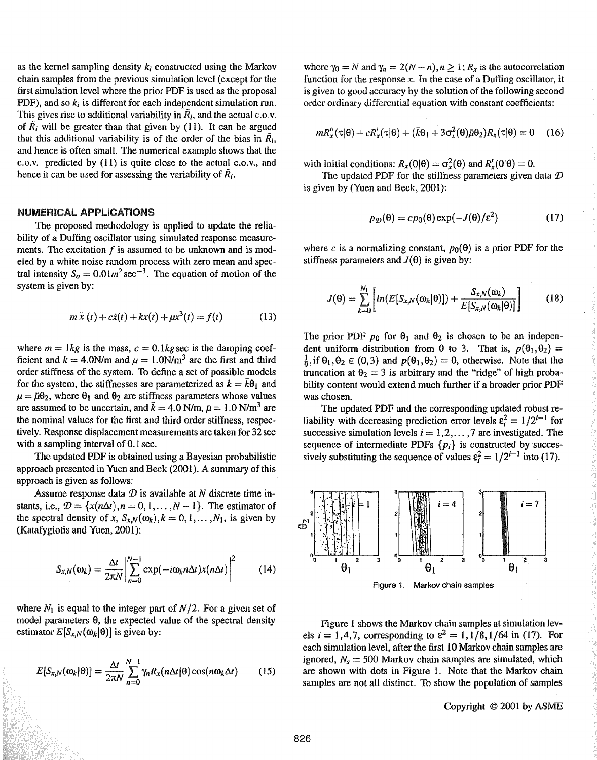as the kernel sampling density *k;* constructed using the Markov chain samples from the previous simulation level (except for the first simulation level where the prior PDF is used as the proposal PDF), and so *k;* is different for each independent simulation run. This gives rise to additional variability in  $\tilde{R}_i$ , and the actual c.o.v. of  $\tilde{R}_i$  will be greater than that given by (11). It can be argued that this additional variability is of the order of the bias in  $\tilde{R}_i$ , and hence is often small. The numerical example shows that the c.o.v. predicted by (ll) is quite close to the actual c.o.v., and hence it can be used for assessing the variability of  $\tilde{R}_i$ .

#### NUMERICAL APPLICATIONS

The proposed methodology is applied to update the reliability of a Duffing oscillator using simulated response measurements. The excitation  $f$  is assumed to be unknown and is modeled by a white noise random process with zero mean and spectral intensity  $S_0 = 0.01m^2 \sec^{-3}$ . The equation of motion of the system is given by:

$$
m\ddot{x}(t) + c\dot{x}(t) + kx(t) + \mu x^3(t) = f(t)
$$
 (13)

where  $m = 1kg$  is the mass,  $c = 0.1kg$  sec is the damping coefficient and  $k = 4.0$ N/m and  $\mu = 1.0$ N/m<sup>3</sup> are the first and third order stiffness of the system. To define a set of possible models for the system, the stiffnesses are parameterized as  $k = \bar{k}\theta_1$  and  $\mu = \bar{\mu}\theta_2$ , where  $\theta_1$  and  $\theta_2$  are stiffness parameters whose values are assumed to be uncertain, and  $\bar{k} = 4.0$  N/m,  $\bar{\mu} = 1.0$  N/m<sup>3</sup> are the nominal values for the first and third order stiffness, respectively. Response displacement measurements are taken for 32 sec with a sampling interval of 0.1 sec.

The updated PDF is obtained using a Bayesian probabilistic approach presented in Yuen and Beck (2001). A summary of this approach is given as follows:

Assume response data  $D$  is available at N discrete time instants, i.e.,  $\mathcal{D} = \{x(n\Delta t), n = 0, 1, \ldots, N-1\}$ . The estimator of the spectral density of *x*,  $S_{x,N}(\omega_k)$ ,  $k = 0, 1, ..., N_1$ , is given by (Katafygiotis and Yuen, 2001):

$$
S_{x,N}(\omega_k) = \frac{\Delta t}{2\pi N} \left| \sum_{n=0}^{N-1} \exp(-i\omega_k n \Delta t) x(n \Delta t) \right|^2 \tag{14}
$$

where  $N_1$  is equal to the integer part of  $N/2$ . For a given set of model parameters  $\theta$ , the expected value of the spectral density estimator  $E[S_{x,N}(\omega_k|\theta)]$  is given by:

$$
E[S_{x,N}(\omega_k|\theta)] = \frac{\Delta t}{2\pi N} \sum_{n=0}^{N-1} \gamma_n R_x(n\Delta t|\theta) \cos(n\omega_k\Delta t)
$$
 (15)

where  $\gamma_0 = N$  and  $\gamma_n = 2(N - n), n \geq 1; R_x$  is the autocorrelation function for the response  $x$ . In the case of a Duffing oscillator, it is given to good accuracy by the solution of the following second order ordinary differential equation with constant coefficients:

$$
mR''_x(\tau|\theta) + cR'_x(\tau|\theta) + (\bar{k}\theta_1 + 3\sigma_x^2(\theta)\bar{\mu}\theta_2)R_x(\tau|\theta) = 0 \quad (16)
$$

with initial conditions:  $R_x(0|\theta) = \sigma_x^2(\theta)$  and  $R'_x(0|\theta) = 0$ .

The updated PDF for the stiffness parameters given data  $\mathcal D$ is given by (Yuen and Beck, 2001):

$$
p_{\mathcal{D}}(\theta) = c p_0(\theta) \exp(-J(\theta)/\varepsilon^2)
$$
 (17)

where *c* is a normalizing constant,  $p_0(\theta)$  is a prior PDF for the stiffness parameters and  $J(\theta)$  is given by:

$$
J(\theta) = \sum_{k=0}^{N_1} \left[ ln(E[S_{x,N}(\omega_k|\theta)]) + \frac{S_{x,N}(\omega_k)}{E[S_{x,N}(\omega_k|\theta)]} \right]
$$
(18)

The prior PDF  $p_0$  for  $\theta_1$  and  $\theta_2$  is chosen to be an independent uniform distribution from 0 to 3. That is,  $p({\theta_1}, {\theta_2}) =$  $\frac{1}{6}$ , if  $\theta_1, \theta_2 \in (0,3)$  and  $p(\theta_1, \theta_2) = 0$ , otherwise. Note that the truncation at  $\theta_2 = 3$  is arbitrary and the "ridge" of high probability content would extend much further if a broader prior PDF was chosen.

The updated PDF and the corresponding updated robust reliability with decreasing prediction error levels  $\varepsilon_i^2 = 1/2^{i-1}$  for successive simulation levels  $i = 1, 2, \ldots, 7$  are investigated. The sequence of intermediate PDFs  $\{p_i\}$  is constructed by successively substituting the sequence of values  $\varepsilon_i^2 = 1/2^{i-1}$  into (17).



Figure 1 shows the Markov chain samples at simulation levels *i* = 1,4,7, corresponding to  $\varepsilon^2 = 1, 1/8, 1/64$  in (17). For each simulation level, after the first 10 Markov chain samples are ignored,  $N_s = 500$  Markov chain samples are simulated, which are shown with dots in Figure 1. Note that the Markov chain samples are not all distinct. To show the population of samples

Copyright © 2001 by ASME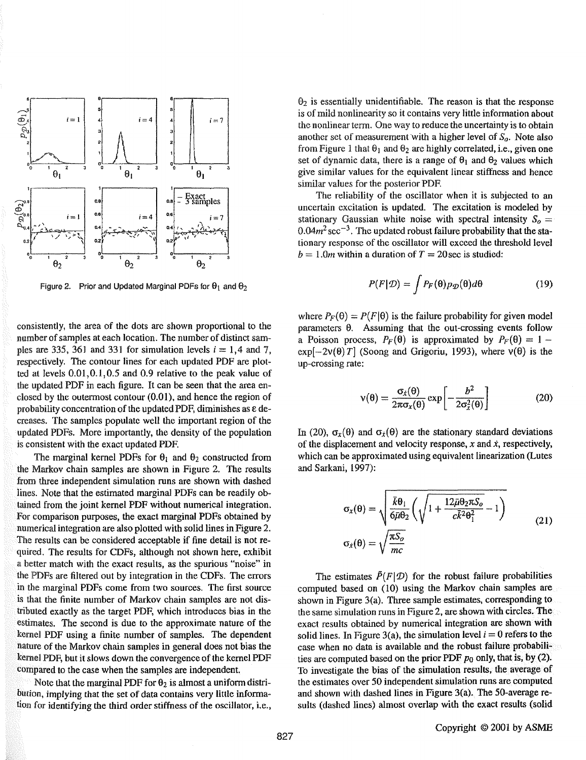

Figure 2. Prior and Updated Marginal PDFs for  $\theta_1$  and  $\theta_2$ 

consistently, the area of the dots arc shown proportional to the number of samples at each location. The number of distinct samples are 335, 361 and 331 for simulation levels  $i = 1,4$  and 7, respectively. The contour lines for each updated PDF are plotted at levels 0.01,0.1,0.5 and 0.9 relative to the peak value of the updated PDF in each figure. It can be seen that the area enclosed by the outermost contour  $(0.01)$ , and hence the region of probability concentration of the updated PDF, diminishes as e decreases. The samples populate well the important region of the updated PDFs. More importantly, the density of the population is consistent with the exact updated PDF.

The marginal kernel PDFs for  $\theta_1$  and  $\theta_2$  constructed from the Markov chain samples are shown in Figure 2. The results from three independent simulation runs are shown with dashed lines. Note that the estimated marginal PDFs can be readily obtained from the joint kernel PDF without numerical integration. For comparison purposes, the exact marginal PDFs obtained by numerical integration are also plotted with solid lines in Figure 2. The results can be considered acceptable if fine detail is not required. The results for CDFs, although not shown here, exhibit a better match with the exact results, as the spurious "noise" in the PDFs are filtered out by integration in the CDFs. The errors in the marginal PDFs come from two sources. The first source is that the finite number of Markov chain samples are not distributed exactly as the target PDF, which introduces bias in the estimates. The second is due to the approximate nature of the kernel PDF using a finite number of samples. The dependent nature of the Markov chain samples in general does not bias the kernel PDF, but it slows down the convergence of the kernel PDF compared to the case when the samples are independent.

Note that the marginal PDF for  $\theta_2$  is almost a uniform distribution, implying that the set of data contains very little information for identifying the third order stiffness of the oscillator, i.e.,  $\Theta_2$  is essentially unidentifiable. The reason is that the response is of mild nonlinearity so it contains very little information about the nonlinear term. One way to reduce the uncertainty is to obtain another set of measurement with a higher level of  $S_a$ . Note also from Figure 1 that  $\theta_1$  and  $\theta_2$  are highly correlated, i.e., given one set of dynamic data, there is a range of  $\theta_1$  and  $\theta_2$  values which give similar values for the equivalent linear stiffness and hence similar values for the posterior PDF.

The reliability of the oscillator when it is subjected to an uncertain excitation is updated. The excitation is modeled by stationary Gaussian white noise with spectral intensity  $S_0 =$  $0.04m^2$  sec<sup>-3</sup>. The updated robust failure probability that the stationary response of the oscillator will exceed the threshold level  $b= 1.0m$  within a duration of  $T= 20$  sec is studied:

$$
P(F|\mathcal{D}) = \int P_F(\theta) p_{\mathcal{D}}(\theta) d\theta \qquad (19)
$$

where  $P_F(\theta) = P(F|\theta)$  is the failure probability for given model parameters  $\theta$ . Assuming that the out-crossing events follow a Poisson process,  $P_F(\theta)$  is approximated by  $P_F(\theta) = 1 \exp[-2v(\theta)T]$  (Soong and Grigoriu, 1993), where  $v(\theta)$  is the up-crossing rate:

$$
v(\theta) = \frac{\sigma_x(\theta)}{2\pi\sigma_x(\theta)} \exp\left[-\frac{b^2}{2\sigma_x^2(\theta)}\right]
$$
 (20)

In (20),  $\sigma_x(\theta)$  and  $\sigma_x(\theta)$  are the stationary standard deviations of the displacement and velocity response, x and *i,* respectively, which can be approximated using equivalent linearization (Lutes and Sarkani, 1997):

$$
\sigma_x(\theta) = \sqrt{\frac{\bar{k}\theta_1}{6\bar{\mu}\theta_2}} \left( \sqrt{1 + \frac{12\bar{\mu}\theta_2 \pi S_o}{c\bar{k}^2 \theta_1^2}} - 1 \right)
$$
  

$$
\sigma_x(\theta) = \sqrt{\frac{\pi S_o}{mc}}
$$
 (21)

The estimates  $\tilde{P}(F|\mathcal{D})$  for the robust failure probabilities computed based on (10) using the Markov chain samples are shown in Figure 3(a). Three sample estimates, corresponding to the same simulation runs in Figure 2, are shown with circles. The exact results obtained by numerical integration are shown with solid lines. In Figure 3(a), the simulation level  $i = 0$  refers to the case when no data is available and the robust failure probabilities are computed based on the prior PDF  $p_0$  only, that is, by (2). To investigate the bias of the simulation results, the average of the estimates over 50 independent simulation runs are computed and shown with dashed lines in Figure 3(a). The 50-average results (dashed lines) almost overlap with the exact results (solid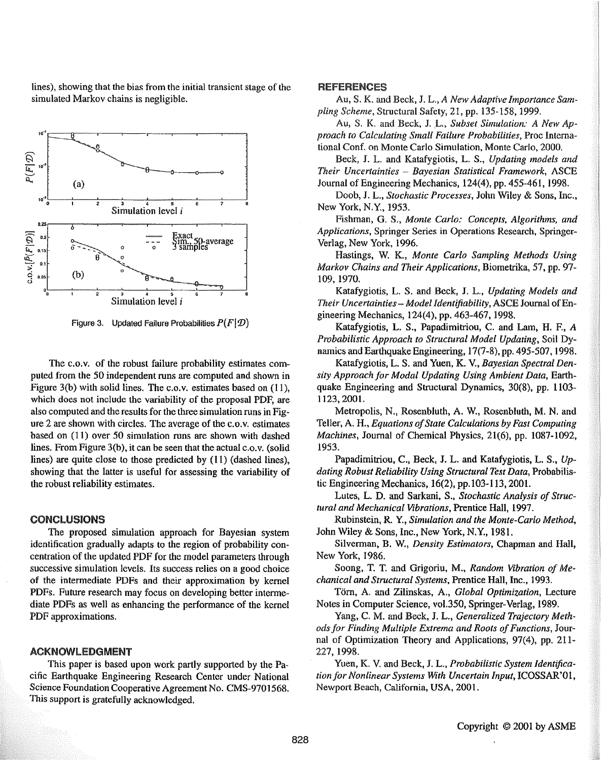lines), showing that the bias from the initial transient stage of the simulated Markov chains is negligible.



Figure 3. Updated Failure Probabilities  $P(F|\mathcal{D})$ 

The c.o.v. of the robust failure probability estimates computed from the 50 independent runs are computed and shown in Figure 3(b) with solid lines. The c.o.v. estimates based on (11), which does not include the variability of the proposal PDF, are also computed and the results for the three simulation runs in Figure 2 are shown with circles. The average of the c.o.v. estimates based on (11) over 50 simulation runs are shown with dashed lines. From Figure 3(b), it can be seen that the actual c.o.v. (solid lines) are quite close to those predicted by (11) (dashed lines), showing that the latter is useful for assessing the variability of the robust reliability estimates.

#### CONCLUSIONS

The proposed simulation approach for Bayesian system identification gradually adapts to the region of probability concentration of the updated PDF for the model parameters through successive simulation levels. Its success relies on a good choice of the intermediate PDFs and their approximation by kernel PDFs. Future research may focus on developing better intermediate PDFs as well as enhancing the performance of the kernel PDF approximations.

#### ACKNOWLEDGMENT

This paper is based upon work partly supported by the Pacific Earthquake Engineering Research Center under National Science Foundation Cooperative Agreement No. CMS-9701568. This support is gratefully acknowledged.

#### **REFERENCES**

Au, S. K. and Beck, J. L., *A New Adaptive Importance Sampling Scheme,* Structural Safety, 21, pp. 135-158, 1999.

Au, S. K. and Beck, J. L., *Subset Simulation: A New Approach to Calculating Small Failure Probabilities,* Proc International Conf. on Monte Carlo Simulation, Monte Carlo, 2000.

Beck, J. L. and Katafygiotis, L. *S., Updating models and Their Uncertainties* - *Bayesian Statistical Framework,* ASCE Journal of Engineering Mechanics, 124(4), pp. 455-461, 1998.

Doob, J. L., *Stochastic Processes,* John Wiley & Sons, Inc., New York, N.Y., 1953.

Fishman, G. S., *Monte Carlo: Concepts, Algorithms, and Applications,* Springer Series in Operations Research, Springer-Verlag, New York, 1996.

Hastings, W. K., *Monte Carlo Sampling Methods Using Markov Chains and Their Applications,* Biometrika, 57, pp. 97- 109, 1970.

Katafygiotis, L. S. and Beck, J. L., *Updating Models and Their Uncertainties- Model Identifiability,* ASCE Journal of Engineering Mechanics, 124(4), pp. 463-467, 1998.

Katafygiotis, L. S., Papadimitriou, C. and Lam, H. F., A *Probabilistic Approach to Structural Model Updating,* Soil Dy~ namics and Earthquake Engineering, 17(7 -8), pp. 495-507, 1998.

Katafygiotis, L. S. and Yuen, K. V., *Bayesian Spectral Density Approach for Modal Updating Using Ambient Data,* Earthquake Engineering and Structural Dynamics, 30(8), pp. 1103- 1123,2001.

Metropolis, N., Rosenbluth, A. W., Rosenbluth, M. N. and Teller, A. H., *Equations of State Calculations by Fast Computing Machines,* Journal of Chemical Physics, 21(6), pp. 1087-1092, 1953.

Papadimitriou, C., Beck, J. L. and Katafygiotis, L. S., *Updating Robust Reliability Using Structural Test Data,* Probabilistic Engineering Mechanics, 16(2), pp.l03-113, 200l.

Lutes, L. D. and Sarkani, S., *Stochastic Analysis of Structural and Mechanical Vibrations,* Prentice Hall, 1997.

Rubinstein, R Y., *Simulation and the Monte-Carlo Method,*  John Wiley & Sons, Inc., New York, N.Y., 1981.

Silverman, B. W., *Density Estimators,* Chapman and Hall, New York, 1986.

Soong, T. T. and Grigoriu, M., *Random Vibration of Mechanical and Structural Systems,* Prentice Hall, Inc., 1993.

Torn, A and Zilinskas, A, *Global Optimization,* Lecture Notes in Computer Science, vol.350, Springer-Verlag, 1989.

Yang, C. M. and Beck, J. L., *Generalized Trajectory Methods for Finding Multiple Extrema and Roots of Functions,* Journal of Optimization Theory and Applications, 97(4), pp. 211- 227, 1998.

Yuen, K. V. and Beck, J. L., *Probabilistic System Identification for Nonlinear Systems With Uncertain Input,* ICOSSAR'01, Newport Beach, California, USA, 2001.